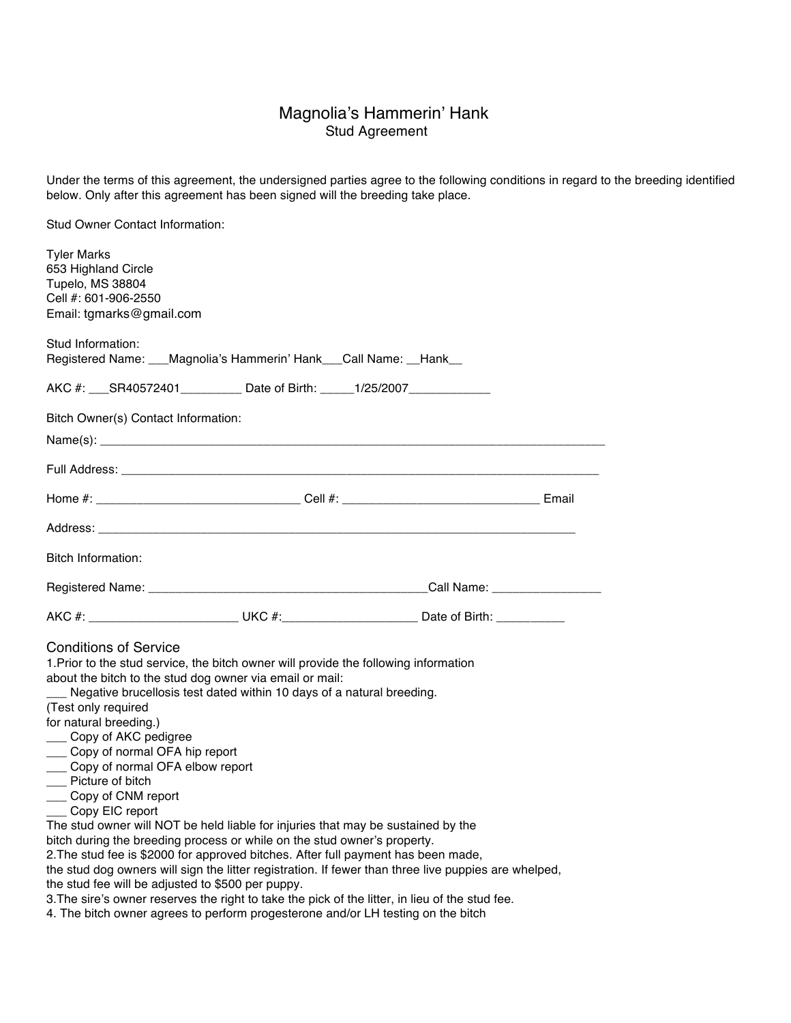## Magnolia's Hammerin' Hank Stud Agreement

Under the terms of this agreement, the undersigned parties agree to the following conditions in regard to the breeding identified below. Only after this agreement has been signed will the breeding take place.

Stud Owner Contact Information:

| <b>Tyler Marks</b><br>653 Highland Circle<br>Tupelo, MS 38804<br>Cell #: 601-906-2550<br>Email: tgmarks@gmail.com                                                                                                                                                                                                                                                                                                                                                                                                                                                                                                                                         |                                                                        |                                                                                                     |  |
|-----------------------------------------------------------------------------------------------------------------------------------------------------------------------------------------------------------------------------------------------------------------------------------------------------------------------------------------------------------------------------------------------------------------------------------------------------------------------------------------------------------------------------------------------------------------------------------------------------------------------------------------------------------|------------------------------------------------------------------------|-----------------------------------------------------------------------------------------------------|--|
| Stud Information:                                                                                                                                                                                                                                                                                                                                                                                                                                                                                                                                                                                                                                         | Registered Name: ___Magnolia's Hammerin' Hank___Call Name: __Hank__    |                                                                                                     |  |
|                                                                                                                                                                                                                                                                                                                                                                                                                                                                                                                                                                                                                                                           | AKC #: SR40572401__________ Date of Birth: _____1/25/2007_____________ |                                                                                                     |  |
| Bitch Owner(s) Contact Information:                                                                                                                                                                                                                                                                                                                                                                                                                                                                                                                                                                                                                       |                                                                        |                                                                                                     |  |
|                                                                                                                                                                                                                                                                                                                                                                                                                                                                                                                                                                                                                                                           |                                                                        |                                                                                                     |  |
|                                                                                                                                                                                                                                                                                                                                                                                                                                                                                                                                                                                                                                                           |                                                                        |                                                                                                     |  |
|                                                                                                                                                                                                                                                                                                                                                                                                                                                                                                                                                                                                                                                           |                                                                        |                                                                                                     |  |
|                                                                                                                                                                                                                                                                                                                                                                                                                                                                                                                                                                                                                                                           |                                                                        |                                                                                                     |  |
| Bitch Information:                                                                                                                                                                                                                                                                                                                                                                                                                                                                                                                                                                                                                                        |                                                                        |                                                                                                     |  |
|                                                                                                                                                                                                                                                                                                                                                                                                                                                                                                                                                                                                                                                           |                                                                        |                                                                                                     |  |
|                                                                                                                                                                                                                                                                                                                                                                                                                                                                                                                                                                                                                                                           |                                                                        | AKC #: ____________________________UKC #:____________________________Date of Birth: _______________ |  |
| <b>Conditions of Service</b><br>1. Prior to the stud service, the bitch owner will provide the following information<br>about the bitch to the stud dog owner via email or mail:<br>Negative brucellosis test dated within 10 days of a natural breeding.<br>(Test only required<br>for natural breeding.)<br>___ Copy of AKC pedigree<br>___ Copy of normal OFA hip report<br>___ Copy of normal OFA elbow report<br>__ Picture of bitch<br>__ Copy of CNM report<br>___ Copy EIC report<br>The stud owner will NOT be held liable for injuries that may be sustained by the<br>bitch during the breeding process or while on the stud owner's property. |                                                                        |                                                                                                     |  |
| 2. The stud fee is \$2000 for approved bitches. After full payment has been made,<br>the stud dog owners will sign the litter registration. If fewer than three live puppies are whelped,<br>the stud fee will be adjusted to \$500 per puppy.                                                                                                                                                                                                                                                                                                                                                                                                            |                                                                        |                                                                                                     |  |
| 3. The sire's owner reserves the right to take the pick of the litter, in lieu of the stud fee.<br>4. The bitch owner agrees to perform progesterone and/or LH testing on the bitch                                                                                                                                                                                                                                                                                                                                                                                                                                                                       |                                                                        |                                                                                                     |  |